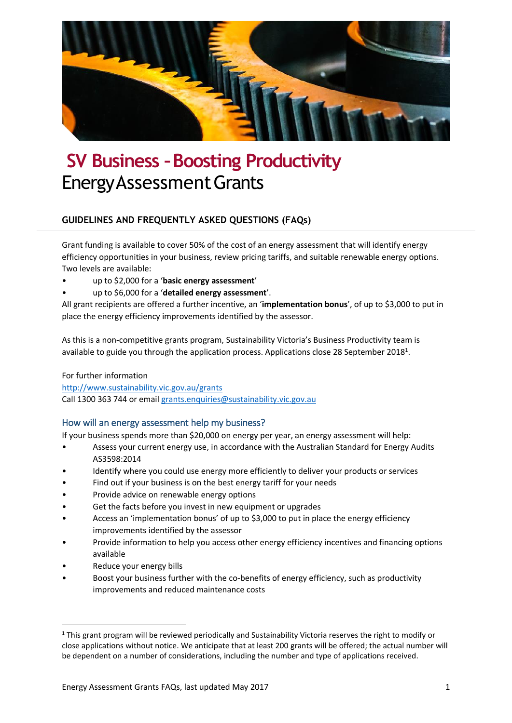

# **SV Business –Boosting Productivity** EnergyAssessmentGrants

## **GUIDELINES AND FREQUENTLY ASKED QUESTIONS (FAQs)**

Grant funding is available to cover 50% of the cost of an energy assessment that will identify energy efficiency opportunities in your business, review pricing tariffs, and suitable renewable energy options. Two levels are available:

- up to \$2,000 for a '**basic energy assessment**'
- up to \$6,000 for a '**detailed energy assessment**'.

All grant recipients are offered a further incentive, an '**implementation bonus**', of up to \$3,000 to put in place the energy efficiency improvements identified by the assessor.

As this is a non-competitive grants program, Sustainability Victoria's Business Productivity team is available to guide you through the application process. Applications close 28 September 2018<sup>1</sup>.

## For further information

<http://www.sustainability.vic.gov.au/grants> Call 1300 363 744 or emai[l grants.enquiries@sustainability.vic.gov.au](mailto:grants.enquiries@sustainability.vic.gov.au)

## <span id="page-0-0"></span>How will an energy assessment help my business?

If your business spends more than \$20,000 on energy per year, an energy assessment will help:

- Assess your current energy use, in accordance with the Australian Standard for Energy Audits AS3598:2014
- Identify where you could use energy more efficiently to deliver your products or services
- Find out if your business is on the best energy tariff for your needs
- Provide advice on renewable energy options
- Get the facts before you invest in new equipment or upgrades
- Access an 'implementation bonus' of up to \$3,000 to put in place the energy efficiency improvements identified by the assessor
- Provide information to help you access other energy efficiency incentives and financing options available
- Reduce your energy bills

**.** 

• Boost your business further with the co-benefits of energy efficiency, such as productivity improvements and reduced maintenance costs

 $1$  This grant program will be reviewed periodically and Sustainability Victoria reserves the right to modify or close applications without notice. We anticipate that at least 200 grants will be offered; the actual number will be dependent on a number of considerations, including the number and type of applications received.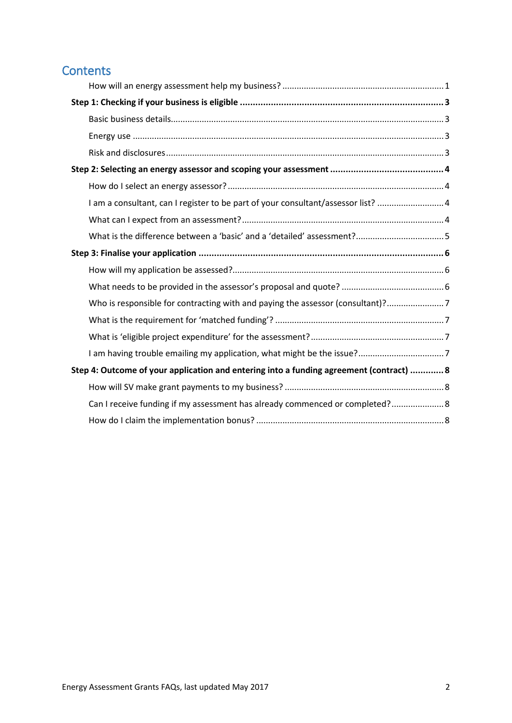## **Contents**

|                                                                                         | I am a consultant, can I register to be part of your consultant/assessor list? 4 |  |  |
|-----------------------------------------------------------------------------------------|----------------------------------------------------------------------------------|--|--|
|                                                                                         |                                                                                  |  |  |
|                                                                                         |                                                                                  |  |  |
|                                                                                         |                                                                                  |  |  |
|                                                                                         |                                                                                  |  |  |
|                                                                                         |                                                                                  |  |  |
|                                                                                         | Who is responsible for contracting with and paying the assessor (consultant)?7   |  |  |
|                                                                                         |                                                                                  |  |  |
|                                                                                         |                                                                                  |  |  |
|                                                                                         |                                                                                  |  |  |
| Step 4: Outcome of your application and entering into a funding agreement (contract)  8 |                                                                                  |  |  |
|                                                                                         |                                                                                  |  |  |
|                                                                                         | Can I receive funding if my assessment has already commenced or completed? 8     |  |  |
|                                                                                         |                                                                                  |  |  |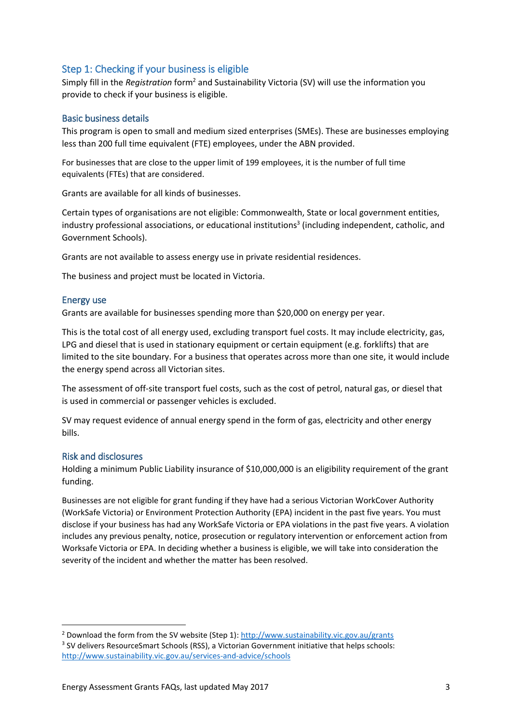## <span id="page-2-0"></span>Step 1: Checking if your business is eligible

Simply fill in the *Registration* form<sup>2</sup> and Sustainability Victoria (SV) will use the information you provide to check if your business is eligible.

## <span id="page-2-1"></span>Basic business details

This program is open to small and medium sized enterprises (SMEs). These are businesses employing less than 200 full time equivalent (FTE) employees, under the ABN provided.

For businesses that are close to the upper limit of 199 employees, it is the number of full time equivalents (FTEs) that are considered.

Grants are available for all kinds of businesses.

Certain types of organisations are not eligible: Commonwealth, State or local government entities, industry professional associations, or educational institutions<sup>3</sup> (including independent, catholic, and Government Schools).

Grants are not available to assess energy use in private residential residences.

The business and project must be located in Victoria.

## <span id="page-2-2"></span>Energy use

Grants are available for businesses spending more than \$20,000 on energy per year.

This is the total cost of all energy used, excluding transport fuel costs. It may include electricity, gas, LPG and diesel that is used in stationary equipment or certain equipment (e.g. forklifts) that are limited to the site boundary. For a business that operates across more than one site, it would include the energy spend across all Victorian sites.

The assessment of off-site transport fuel costs, such as the cost of petrol, natural gas, or diesel that is used in commercial or passenger vehicles is excluded.

SV may request evidence of annual energy spend in the form of gas, electricity and other energy bills.

## <span id="page-2-3"></span>Risk and disclosures

**.** 

Holding a minimum Public Liability insurance of \$10,000,000 is an eligibility requirement of the grant funding.

Businesses are not eligible for grant funding if they have had a serious Victorian WorkCover Authority (WorkSafe Victoria) or Environment Protection Authority (EPA) incident in the past five years. You must disclose if your business has had any WorkSafe Victoria or EPA violations in the past five years. A violation includes any previous penalty, notice, prosecution or regulatory intervention or enforcement action from Worksafe Victoria or EPA. In deciding whether a business is eligible, we will take into consideration the severity of the incident and whether the matter has been resolved.

<sup>&</sup>lt;sup>2</sup> Download the form from the SV website (Step 1):<http://www.sustainability.vic.gov.au/grants> <sup>3</sup> SV delivers ResourceSmart Schools (RSS), a Victorian Government initiative that helps schools: <http://www.sustainability.vic.gov.au/services-and-advice/schools>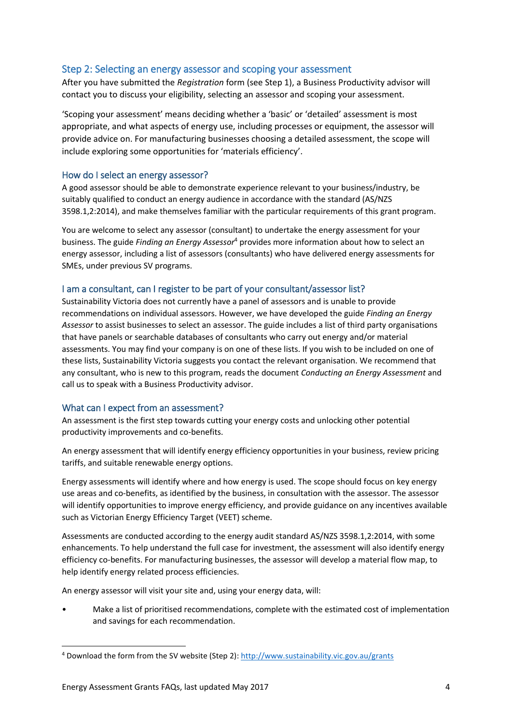## <span id="page-3-0"></span>Step 2: Selecting an energy assessor and scoping your assessment

After you have submitted the *Registration* form (see Step 1), a Business Productivity advisor will contact you to discuss your eligibility, selecting an assessor and scoping your assessment.

'Scoping your assessment' means deciding whether a 'basic' or 'detailed' assessment is most appropriate, and what aspects of energy use, including processes or equipment, the assessor will provide advice on. For manufacturing businesses choosing a detailed assessment, the scope will include exploring some opportunities for 'materials efficiency'.

## <span id="page-3-1"></span>How do I select an energy assessor?

A good assessor should be able to demonstrate experience relevant to your business/industry, be suitably qualified to conduct an energy audience in accordance with the standard (AS/NZS 3598.1,2:2014), and make themselves familiar with the particular requirements of this grant program.

You are welcome to select any assessor (consultant) to undertake the energy assessment for your business. The guide *Finding an Energy Assessor*<sup>4</sup> provides more information about how to select an energy assessor, including a list of assessors (consultants) who have delivered energy assessments for SMEs, under previous SV programs.

## <span id="page-3-2"></span>I am a consultant, can I register to be part of your consultant/assessor list?

Sustainability Victoria does not currently have a panel of assessors and is unable to provide recommendations on individual assessors. However, we have developed the guide *Finding an Energy Assessor* to assist businesses to select an assessor. The guide includes a list of third party organisations that have panels or searchable databases of consultants who carry out energy and/or material assessments. You may find your company is on one of these lists. If you wish to be included on one of these lists, Sustainability Victoria suggests you contact the relevant organisation. We recommend that any consultant, who is new to this program, reads the document *Conducting an Energy Assessment* and call us to speak with a Business Productivity advisor.

## <span id="page-3-3"></span>What can I expect from an assessment?

An assessment is the first step towards cutting your energy costs and unlocking other potential productivity improvements and co-benefits.

An energy assessment that will identify energy efficiency opportunities in your business, review pricing tariffs, and suitable renewable energy options.

Energy assessments will identify where and how energy is used. The scope should focus on key energy use areas and co-benefits, as identified by the business, in consultation with the assessor. The assessor will identify opportunities to improve energy efficiency, and provide guidance on any incentives available such as Victorian Energy Efficiency Target (VEET) scheme.

Assessments are conducted according to the energy audit standard AS/NZS 3598.1,2:2014, with some enhancements. To help understand the full case for investment, the assessment will also identify energy efficiency co-benefits. For manufacturing businesses, the assessor will develop a material flow map, to help identify energy related process efficiencies.

An energy assessor will visit your site and, using your energy data, will:

• Make a list of prioritised recommendations, complete with the estimated cost of implementation and savings for each recommendation.

**.** 

<sup>4</sup> Download the form from the SV website (Step 2):<http://www.sustainability.vic.gov.au/grants>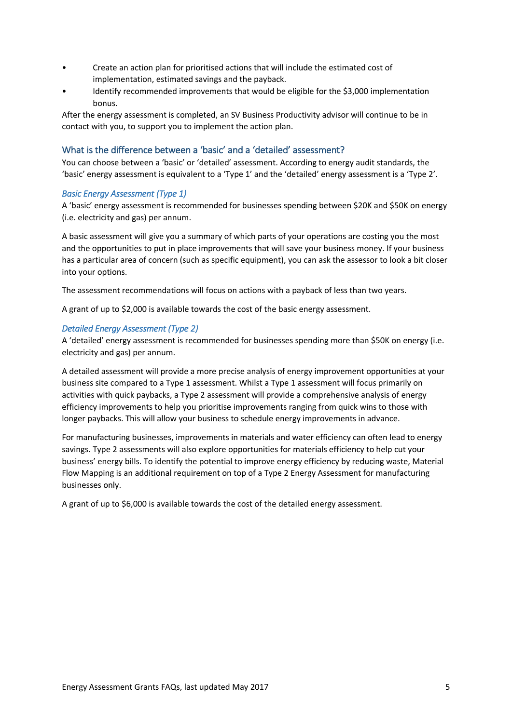- Create an action plan for prioritised actions that will include the estimated cost of implementation, estimated savings and the payback.
- Identify recommended improvements that would be eligible for the \$3,000 implementation bonus.

After the energy assessment is completed, an SV Business Productivity advisor will continue to be in contact with you, to support you to implement the action plan.

## <span id="page-4-0"></span>What is the difference between a 'basic' and a 'detailed' assessment?

You can choose between a 'basic' or 'detailed' assessment. According to energy audit standards, the 'basic' energy assessment is equivalent to a 'Type 1' and the 'detailed' energy assessment is a 'Type 2'.

## *Basic Energy Assessment (Type 1)*

A 'basic' energy assessment is recommended for businesses spending between \$20K and \$50K on energy (i.e. electricity and gas) per annum.

A basic assessment will give you a summary of which parts of your operations are costing you the most and the opportunities to put in place improvements that will save your business money. If your business has a particular area of concern (such as specific equipment), you can ask the assessor to look a bit closer into your options.

The assessment recommendations will focus on actions with a payback of less than two years.

A grant of up to \$2,000 is available towards the cost of the basic energy assessment.

## *Detailed Energy Assessment (Type 2)*

A 'detailed' energy assessment is recommended for businesses spending more than \$50K on energy (i.e. electricity and gas) per annum.

A detailed assessment will provide a more precise analysis of energy improvement opportunities at your business site compared to a Type 1 assessment. Whilst a Type 1 assessment will focus primarily on activities with quick paybacks, a Type 2 assessment will provide a comprehensive analysis of energy efficiency improvements to help you prioritise improvements ranging from quick wins to those with longer paybacks. This will allow your business to schedule energy improvements in advance.

For manufacturing businesses, improvements in materials and water efficiency can often lead to energy savings. Type 2 assessments will also explore opportunities for materials efficiency to help cut your business' energy bills. To identify the potential to improve energy efficiency by reducing waste, Material Flow Mapping is an additional requirement on top of a Type 2 Energy Assessment for manufacturing businesses only.

A grant of up to \$6,000 is available towards the cost of the detailed energy assessment.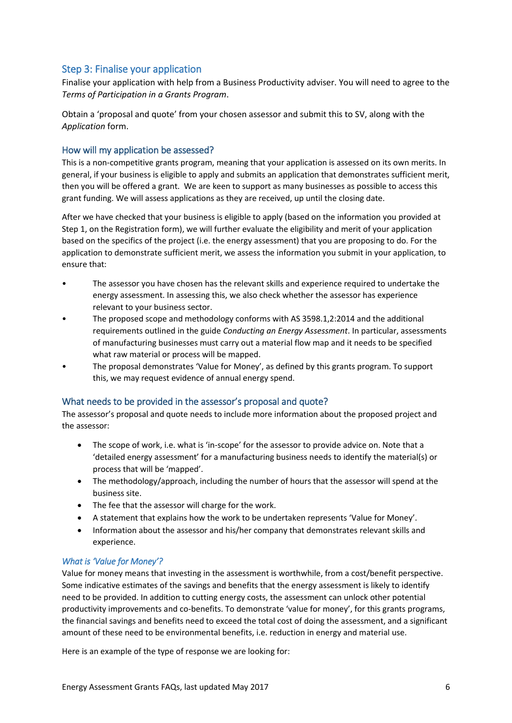## <span id="page-5-0"></span>Step 3: Finalise your application

<span id="page-5-1"></span>Finalise your application with help from a Business Productivity adviser. You will need to agree to the *Terms of Participation in a Grants Program*.

Obtain a 'proposal and quote' from your chosen assessor and submit this to SV, along with the *Application* form.

## How will my application be assessed?

This is a non-competitive grants program, meaning that your application is assessed on its own merits. In general, if your business is eligible to apply and submits an application that demonstrates sufficient merit, then you will be offered a grant. We are keen to support as many businesses as possible to access this grant funding. We will assess applications as they are received, up until the closing date.

After we have checked that your business is eligible to apply (based on the information you provided at Step 1, on the Registration form), we will further evaluate the eligibility and merit of your application based on the specifics of the project (i.e. the energy assessment) that you are proposing to do. For the application to demonstrate sufficient merit, we assess the information you submit in your application, to ensure that:

- The assessor you have chosen has the relevant skills and experience required to undertake the energy assessment. In assessing this, we also check whether the assessor has experience relevant to your business sector.
- The proposed scope and methodology conforms with AS 3598.1,2:2014 and the additional requirements outlined in the guide *Conducting an Energy Assessment*. In particular, assessments of manufacturing businesses must carry out a material flow map and it needs to be specified what raw material or process will be mapped.
- The proposal demonstrates 'Value for Money', as defined by this grants program. To support this, we may request evidence of annual energy spend.

## <span id="page-5-2"></span>What needs to be provided in the assessor's proposal and quote?

The assessor's proposal and quote needs to include more information about the proposed project and the assessor:

- The scope of work, i.e. what is 'in-scope' for the assessor to provide advice on. Note that a 'detailed energy assessment' for a manufacturing business needs to identify the material(s) or process that will be 'mapped'.
- The methodology/approach, including the number of hours that the assessor will spend at the business site.
- The fee that the assessor will charge for the work.
- A statement that explains how the work to be undertaken represents 'Value for Money'.
- Information about the assessor and his/her company that demonstrates relevant skills and experience.

## *What is 'Value for Money'?*

Value for money means that investing in the assessment is worthwhile, from a cost/benefit perspective. Some indicative estimates of the savings and benefits that the energy assessment is likely to identify need to be provided. In addition to cutting energy costs, the assessment can unlock other potential productivity improvements and co-benefits. To demonstrate 'value for money', for this grants programs, the financial savings and benefits need to exceed the total cost of doing the assessment, and a significant amount of these need to be environmental benefits, i.e. reduction in energy and material use.

Here is an example of the type of response we are looking for: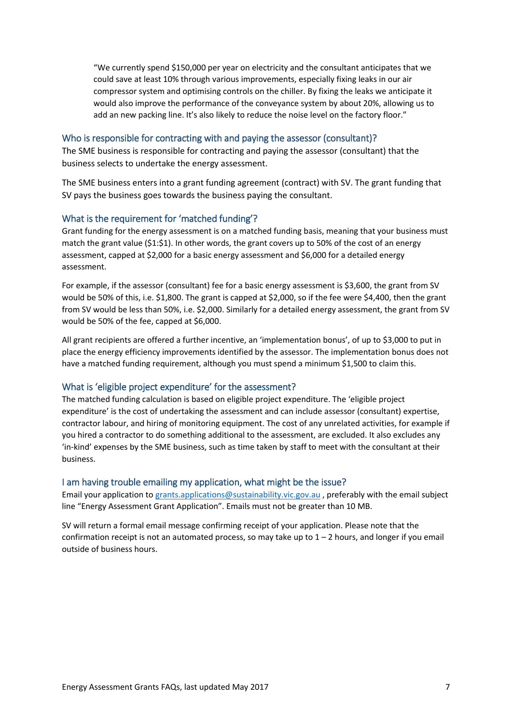"We currently spend \$150,000 per year on electricity and the consultant anticipates that we could save at least 10% through various improvements, especially fixing leaks in our air compressor system and optimising controls on the chiller. By fixing the leaks we anticipate it would also improve the performance of the conveyance system by about 20%, allowing us to add an new packing line. It's also likely to reduce the noise level on the factory floor."

#### <span id="page-6-0"></span>Who is responsible for contracting with and paying the assessor (consultant)?

The SME business is responsible for contracting and paying the assessor (consultant) that the business selects to undertake the energy assessment.

The SME business enters into a grant funding agreement (contract) with SV. The grant funding that SV pays the business goes towards the business paying the consultant.

#### <span id="page-6-1"></span>What is the requirement for 'matched funding'?

Grant funding for the energy assessment is on a matched funding basis, meaning that your business must match the grant value (\$1:\$1). In other words, the grant covers up to 50% of the cost of an energy assessment, capped at \$2,000 for a basic energy assessment and \$6,000 for a detailed energy assessment.

For example, if the assessor (consultant) fee for a basic energy assessment is \$3,600, the grant from SV would be 50% of this, i.e. \$1,800. The grant is capped at \$2,000, so if the fee were \$4,400, then the grant from SV would be less than 50%, i.e. \$2,000. Similarly for a detailed energy assessment, the grant from SV would be 50% of the fee, capped at \$6,000.

All grant recipients are offered a further incentive, an 'implementation bonus', of up to \$3,000 to put in place the energy efficiency improvements identified by the assessor. The implementation bonus does not have a matched funding requirement, although you must spend a minimum \$1,500 to claim this.

#### <span id="page-6-2"></span>What is 'eligible project expenditure' for the assessment?

The matched funding calculation is based on eligible project expenditure. The 'eligible project expenditure' is the cost of undertaking the assessment and can include assessor (consultant) expertise, contractor labour, and hiring of monitoring equipment. The cost of any unrelated activities, for example if you hired a contractor to do something additional to the assessment, are excluded. It also excludes any 'in-kind' expenses by the SME business, such as time taken by staff to meet with the consultant at their business.

#### <span id="page-6-3"></span>I am having trouble emailing my application, what might be the issue?

Email your application t[o grants.applications@sustainability.vic.gov.au](mailto:grants.applications@sustainability.vic.gov.au) , preferably with the email subject line "Energy Assessment Grant Application". Emails must not be greater than 10 MB.

SV will return a formal email message confirming receipt of your application. Please note that the confirmation receipt is not an automated process, so may take up to  $1 - 2$  hours, and longer if you email outside of business hours.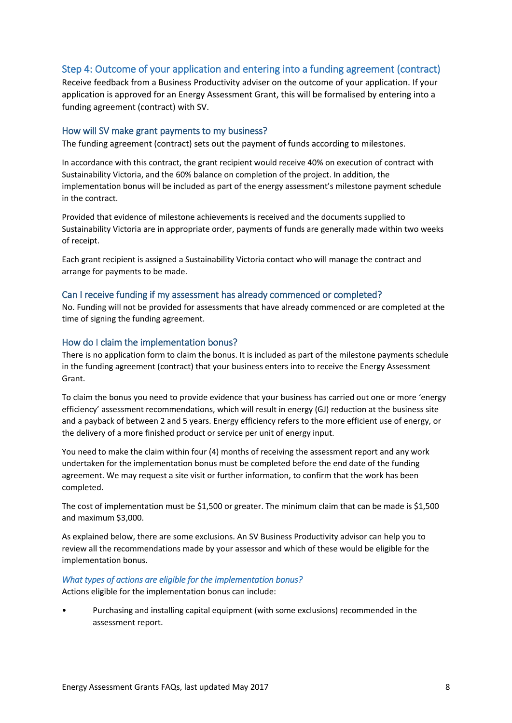## <span id="page-7-0"></span>Step 4: Outcome of your application and entering into a funding agreement (contract)

Receive feedback from a Business Productivity adviser on the outcome of your application. If your application is approved for an Energy Assessment Grant, this will be formalised by entering into a funding agreement (contract) with SV.

## <span id="page-7-1"></span>How will SV make grant payments to my business?

The funding agreement (contract) sets out the payment of funds according to milestones.

In accordance with this contract, the grant recipient would receive 40% on execution of contract with Sustainability Victoria, and the 60% balance on completion of the project. In addition, the implementation bonus will be included as part of the energy assessment's milestone payment schedule in the contract.

Provided that evidence of milestone achievements is received and the documents supplied to Sustainability Victoria are in appropriate order, payments of funds are generally made within two weeks of receipt.

Each grant recipient is assigned a Sustainability Victoria contact who will manage the contract and arrange for payments to be made.

## <span id="page-7-2"></span>Can I receive funding if my assessment has already commenced or completed?

No. Funding will not be provided for assessments that have already commenced or are completed at the time of signing the funding agreement.

## <span id="page-7-3"></span>How do I claim the implementation bonus?

There is no application form to claim the bonus. It is included as part of the milestone payments schedule in the funding agreement (contract) that your business enters into to receive the Energy Assessment Grant.

To claim the bonus you need to provide evidence that your business has carried out one or more 'energy efficiency' assessment recommendations, which will result in energy (GJ) reduction at the business site and a payback of between 2 and 5 years. Energy efficiency refers to the more efficient use of energy, or the delivery of a more finished product or service per unit of energy input.

You need to make the claim within four (4) months of receiving the assessment report and any work undertaken for the implementation bonus must be completed before the end date of the funding agreement. We may request a site visit or further information, to confirm that the work has been completed.

The cost of implementation must be \$1,500 or greater. The minimum claim that can be made is \$1,500 and maximum \$3,000.

As explained below, there are some exclusions. An SV Business Productivity advisor can help you to review all the recommendations made by your assessor and which of these would be eligible for the implementation bonus.

## *What types of actions are eligible for the implementation bonus?*

Actions eligible for the implementation bonus can include:

• Purchasing and installing capital equipment (with some exclusions) recommended in the assessment report.